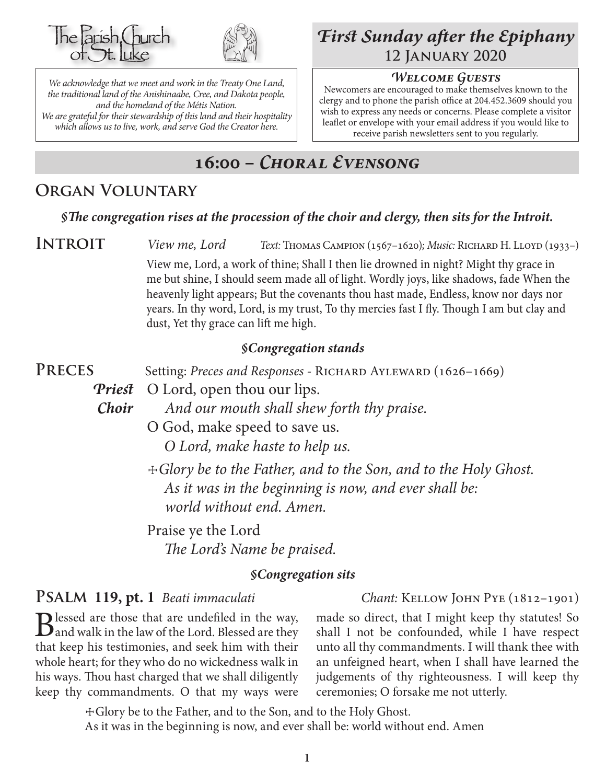



*We acknowledge that we meet and work in the Treaty One Land, the traditional land of the Anishinaabe, Cree, and Dakota people, and the homeland of the Métis Nation. We are grateful for their stewardship of this land and their hospitality which allows us to live, work, and serve God the Creator here.*

# *First Sunday after the Epiphany* **12 January 2020**

#### *Welcome Guests*

Newcomers are encouraged to make themselves known to the clergy and to phone the parish office at 204.452.3609 should you wish to express any needs or concerns. Please complete a visitor leaflet or envelope with your email address if you would like to receive parish newsletters sent to you regularly.

# **16:00 –** *Choral Evensong*

## **Organ Voluntary**

#### *§The congregation rises at the procession of the choir and clergy, then sits for the Introit.*

**INTROIT** *View me, Lord Text:* Thomas Campion (1567–1620)*; Music:* Richard H. Lloyd (1933–)

View me, Lord, a work of thine; Shall I then lie drowned in night? Might thy grace in me but shine, I should seem made all of light. Wordly joys, like shadows, fade When the heavenly light appears; But the covenants thou hast made, Endless, know nor days nor years. In thy word, Lord, is my trust, To thy mercies fast I fly. Though I am but clay and dust, Yet thy grace can lift me high.

#### *§Congregation stands*

**PRECES** Setting: *Preces and Responses* - RICHARD AYLEWARD (1626–1669)

*Priest* O Lord, open thou our lips.

*Choir And our mouth shall shew forth thy praise.*

O God, make speed to save us.

*O Lord, make haste to help us.*

 ☩*Glory be to the Father, and to the Son, and to the Holy Ghost.* *As it was in the beginning is now, and ever shall be: world without end. Amen.*

Praise ye the Lord

*The Lord's Name be praised.*

#### *§Congregation sits*

## **PSALM 119, pt. 1** *Beati immaculati Chant: KELLOW JOHN PYE* (1812–1901)

Blessed are those that are undefiled in the way,<br>and walk in the law of the Lord. Blessed are they that keep his testimonies, and seek him with their whole heart; for they who do no wickedness walk in his ways. Thou hast charged that we shall diligently keep thy commandments. O that my ways were

made so direct, that I might keep thy statutes! So shall I not be confounded, while I have respect unto all thy commandments. I will thank thee with an unfeigned heart, when I shall have learned the judgements of thy righteousness. I will keep thy ceremonies; O forsake me not utterly.

☩Glory be to the Father, and to the Son, and to the Holy Ghost.

As it was in the beginning is now, and ever shall be: world without end. Amen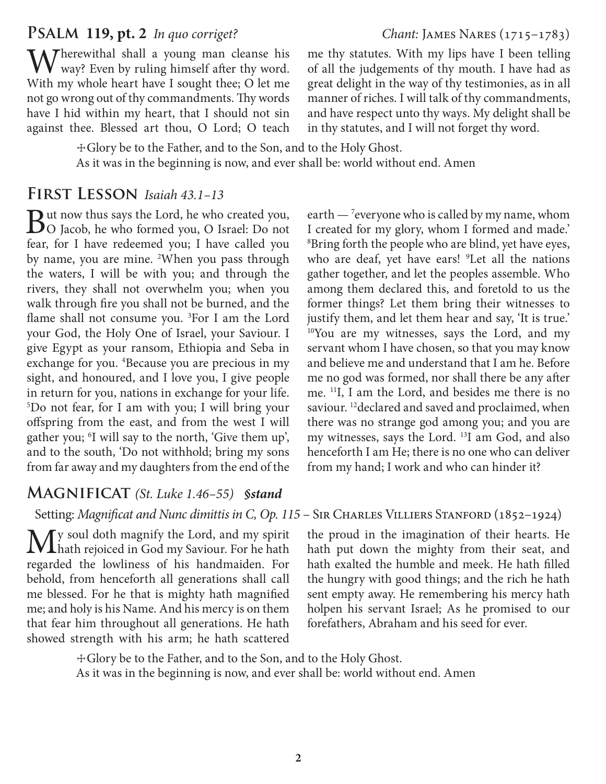#### **Psalm 119, pt. 2** *In quo corriget? Chant:* James Nares (1715–1783)

Wherewithal shall a young man cleanse his way? Even by ruling himself after thy word. With my whole heart have I sought thee; O let me not go wrong out of thy commandments. Thy words have I hid within my heart, that I should not sin against thee. Blessed art thou, O Lord; O teach

me thy statutes. With my lips have I been telling of all the judgements of thy mouth. I have had as great delight in the way of thy testimonies, as in all manner of riches. I will talk of thy commandments, and have respect unto thy ways. My delight shall be in thy statutes, and I will not forget thy word.

☩Glory be to the Father, and to the Son, and to the Holy Ghost. As it was in the beginning is now, and ever shall be: world without end. Amen

#### **First Lesson** *Isaiah 43.1–13*

But now thus says the Lord, he who created you, O Jacob, he who formed you, O Israel: Do not fear, for I have redeemed you; I have called you by name, you are mine. <sup>2</sup>When you pass through the waters, I will be with you; and through the rivers, they shall not overwhelm you; when you walk through fire you shall not be burned, and the flame shall not consume you. <sup>3</sup>For I am the Lord your God, the Holy One of Israel, your Saviour. I give Egypt as your ransom, Ethiopia and Seba in exchange for you. <sup>4</sup>Because you are precious in my sight, and honoured, and I love you, I give people in return for you, nations in exchange for your life. 5 Do not fear, for I am with you; I will bring your offspring from the east, and from the west I will gather you; <sup>6</sup>I will say to the north, 'Give them up', and to the south, 'Do not withhold; bring my sons from far away and my daughters from the end of the

#### **Magnificat** *(St. Luke 1.46–55) §stand*

Setting: Magnificat and Nunc dimittis in C, Op. 115 - SIR CHARLES VILLIERS STANFORD (1852-1924)

My soul doth magnify the Lord, and my spirit<br>hath rejoiced in God my Saviour. For he hath regarded the lowliness of his handmaiden. For behold, from henceforth all generations shall call me blessed. For he that is mighty hath magnified me; and holy is his Name. And his mercy is on them that fear him throughout all generations. He hath showed strength with his arm; he hath scattered

earth  $-$  <sup>7</sup> everyone who is called by my name, whom I created for my glory, whom I formed and made.' 8 Bring forth the people who are blind, yet have eyes, who are deaf, yet have ears! <sup>9</sup>Let all the nations gather together, and let the peoples assemble. Who among them declared this, and foretold to us the former things? Let them bring their witnesses to justify them, and let them hear and say, 'It is true.' <sup>10</sup>You are my witnesses, says the Lord, and my servant whom I have chosen, so that you may know and believe me and understand that I am he. Before me no god was formed, nor shall there be any after me. 11I, I am the Lord, and besides me there is no saviour.<sup>12</sup> declared and saved and proclaimed, when there was no strange god among you; and you are my witnesses, says the Lord. 13I am God, and also henceforth I am He; there is no one who can deliver from my hand; I work and who can hinder it?

the proud in the imagination of their hearts. He hath put down the mighty from their seat, and hath exalted the humble and meek. He hath filled the hungry with good things; and the rich he hath sent empty away. He remembering his mercy hath holpen his servant Israel; As he promised to our forefathers, Abraham and his seed for ever.

☩Glory be to the Father, and to the Son, and to the Holy Ghost. As it was in the beginning is now, and ever shall be: world without end. Amen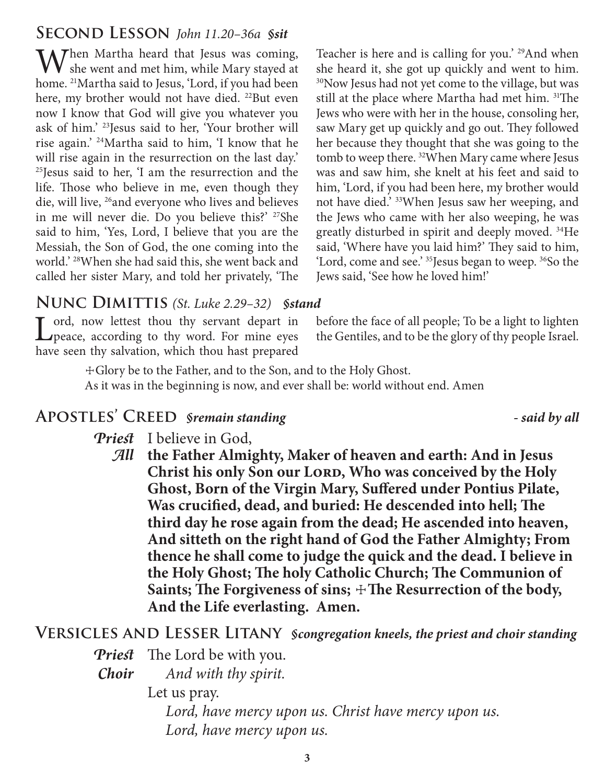## **Second Lesson** *John 11.20–36a §sit*

When Martha heard that Jesus was coming, she went and met him, while Mary stayed at home. 21Martha said to Jesus, 'Lord, if you had been here, my brother would not have died. <sup>22</sup>But even now I know that God will give you whatever you ask of him.' 23Jesus said to her, 'Your brother will rise again.' 24Martha said to him, 'I know that he will rise again in the resurrection on the last day.' 25Jesus said to her, 'I am the resurrection and the life. Those who believe in me, even though they die, will live, 26and everyone who lives and believes in me will never die. Do you believe this?' 27She said to him, 'Yes, Lord, I believe that you are the Messiah, the Son of God, the one coming into the world.' 28When she had said this, she went back and called her sister Mary, and told her privately, 'The

Teacher is here and is calling for you.' <sup>29</sup>And when she heard it, she got up quickly and went to him. <sup>30</sup>Now Jesus had not yet come to the village, but was still at the place where Martha had met him. 31The Jews who were with her in the house, consoling her, saw Mary get up quickly and go out. They followed her because they thought that she was going to the tomb to weep there. 32When Mary came where Jesus was and saw him, she knelt at his feet and said to him, 'Lord, if you had been here, my brother would not have died.' 33When Jesus saw her weeping, and the Jews who came with her also weeping, he was greatly disturbed in spirit and deeply moved. 34He said, 'Where have you laid him?' They said to him, 'Lord, come and see.' 35Jesus began to weep. 36So the Jews said, 'See how he loved him!'

## **Nunc Dimittis** *(St. Luke 2.29–32) §stand*

Lord, now lettest thou thy servant depart in peace, according to thy word. For mine eyes have seen thy salvation, which thou hast prepared

before the face of all people; To be a light to lighten the Gentiles, and to be the glory of thy people Israel.

☩Glory be to the Father, and to the Son, and to the Holy Ghost. As it was in the beginning is now, and ever shall be: world without end. Amen

## **Apostles' Creed** *§remain standing - said by all*

- *Priest* I believe in God,
	- *All* **the Father Almighty, Maker of heaven and earth: And in Jesus**  Christ his only Son our LORD, Who was conceived by the Holy **Ghost, Born of the Virgin Mary, Suffered under Pontius Pilate, Was crucified, dead, and buried: He descended into hell; The third day he rose again from the dead; He ascended into heaven, And sitteth on the right hand of God the Father Almighty; From thence he shall come to judge the quick and the dead. I believe in the Holy Ghost; The holy Catholic Church; The Communion of**  Saints; The Forgiveness of sins;  $\pm$ The Resurrection of the body, **And the Life everlasting. Amen.**

## **Versicles and Lesser Litany** *§congregation kneels, the priest and choir standing*

- *Priest* The Lord be with you.
- *Choir And with thy spirit.*

Let us pray.

 *Lord, have mercy upon us. Christ have mercy upon us. Lord, have mercy upon us.*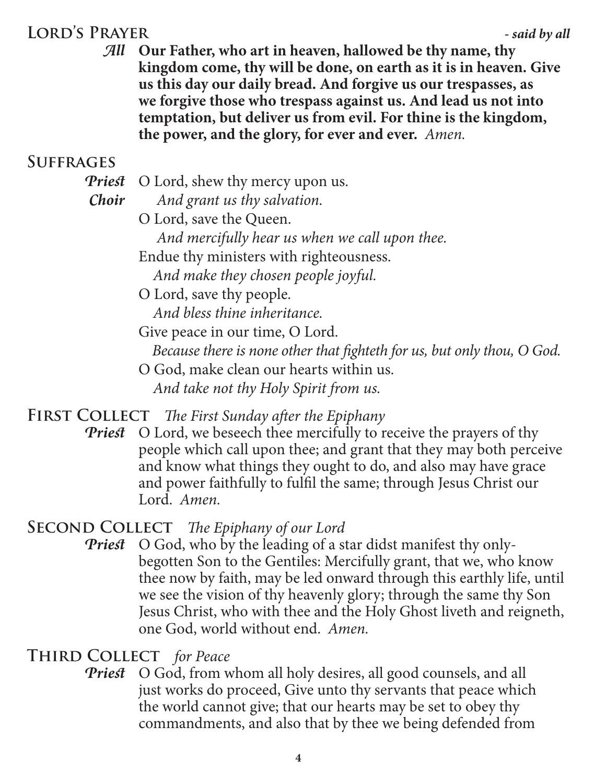# **Lord's Prayer** *- said by all*

*All* **Our Father, who art in heaven, hallowed be thy name, thy kingdom come, thy will be done, on earth as it is in heaven. Give us this day our daily bread. And forgive us our trespasses, as we forgive those who trespass against us. And lead us not into temptation, but deliver us from evil. For thine is the kingdom, the power, and the glory, for ever and ever.** *Amen.*

## **Suffrages**

- *Priest* O Lord, shew thy mercy upon us.
- 
- *Choir And grant us thy salvation.*
	- O Lord, save the Queen.
		- *And mercifully hear us when we call upon thee.*
	- Endue thy ministers with righteousness.
		- *And make they chosen people joyful.*
	- O Lord, save thy people.

 *And bless thine inheritance.*

Give peace in our time, O Lord.

 *Because there is none other that fighteth for us, but only thou, O God.*

O God, make clean our hearts within us.  *And take not thy Holy Spirit from us.*

## **First Collect** *The First Sunday after the Epiphany*

*Priest* O Lord, we beseech thee mercifully to receive the prayers of thy people which call upon thee; and grant that they may both perceive and know what things they ought to do, and also may have grace and power faithfully to fulfil the same; through Jesus Christ our Lord. *Amen.*

## **Second Collect** *The Epiphany of our Lord*

*Priest* O God, who by the leading of a star didst manifest thy onlybegotten Son to the Gentiles: Mercifully grant, that we, who know thee now by faith, may be led onward through this earthly life, until we see the vision of thy heavenly glory; through the same thy Son Jesus Christ, who with thee and the Holy Ghost liveth and reigneth, one God, world without end. *Amen.*

## **Third Collect** *for Peace*

**Priest** O God, from whom all holy desires, all good counsels, and all just works do proceed, Give unto thy servants that peace which the world cannot give; that our hearts may be set to obey thy commandments, and also that by thee we being defended from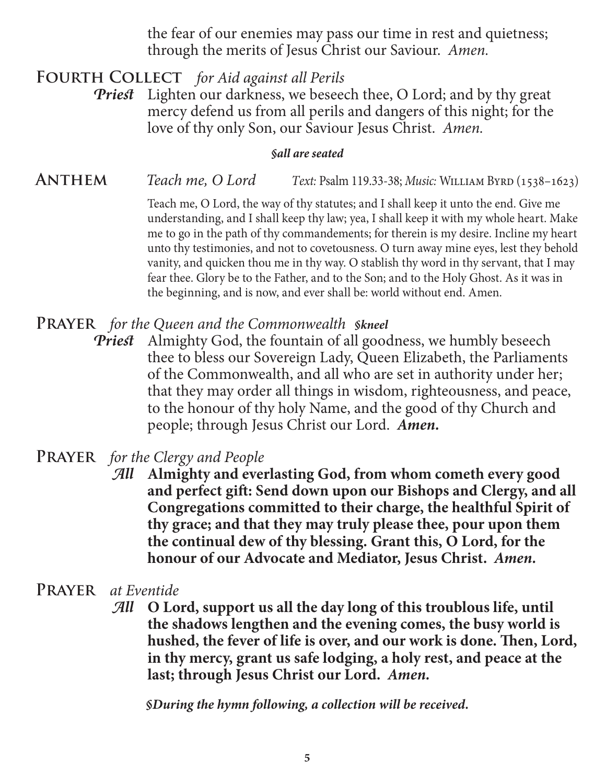the fear of our enemies may pass our time in rest and quietness; through the merits of Jesus Christ our Saviour. *Amen.*

**Fourth Collect** *for Aid against all Perils*

*Priest* Lighten our darkness, we beseech thee, O Lord; and by thy great mercy defend us from all perils and dangers of this night; for the love of thy only Son, our Saviour Jesus Christ. *Amen.*

#### *§all are seated*

ANTHEM *Teach me, O Lord Text: Psalm 119.33-38; Music: WILLIAM BYRD* (1538–1623)

Teach me, O Lord, the way of thy statutes; and I shall keep it unto the end. Give me understanding, and I shall keep thy law; yea, I shall keep it with my whole heart. Make me to go in the path of thy commandements; for therein is my desire. Incline my heart unto thy testimonies, and not to covetousness. O turn away mine eyes, lest they behold vanity, and quicken thou me in thy way. O stablish thy word in thy servant, that I may fear thee. Glory be to the Father, and to the Son; and to the Holy Ghost. As it was in the beginning, and is now, and ever shall be: world without end. Amen.

#### **Prayer** *for the Queen and the Commonwealth §kneel*

*Priest* Almighty God, the fountain of all goodness, we humbly beseech thee to bless our Sovereign Lady, Queen Elizabeth, the Parliaments of the Commonwealth, and all who are set in authority under her; that they may order all things in wisdom, righteousness, and peace, to the honour of thy holy Name, and the good of thy Church and people; through Jesus Christ our Lord. *Amen.*

## **Prayer** *for the Clergy and People*

- *All* **Almighty and everlasting God, from whom cometh every good and perfect gift: Send down upon our Bishops and Clergy, and all Congregations committed to their charge, the healthful Spirit of thy grace; and that they may truly please thee, pour upon them the continual dew of thy blessing. Grant this, O Lord, for the honour of our Advocate and Mediator, Jesus Christ.** *Amen.*
- **Prayer** *at Eventide*
	- *All* **O Lord, support us all the day long of this troublous life, until the shadows lengthen and the evening comes, the busy world is hushed, the fever of life is over, and our work is done. Then, Lord, in thy mercy, grant us safe lodging, a holy rest, and peace at the last; through Jesus Christ our Lord.** *Amen.*

*§During the hymn following, a collection will be received.*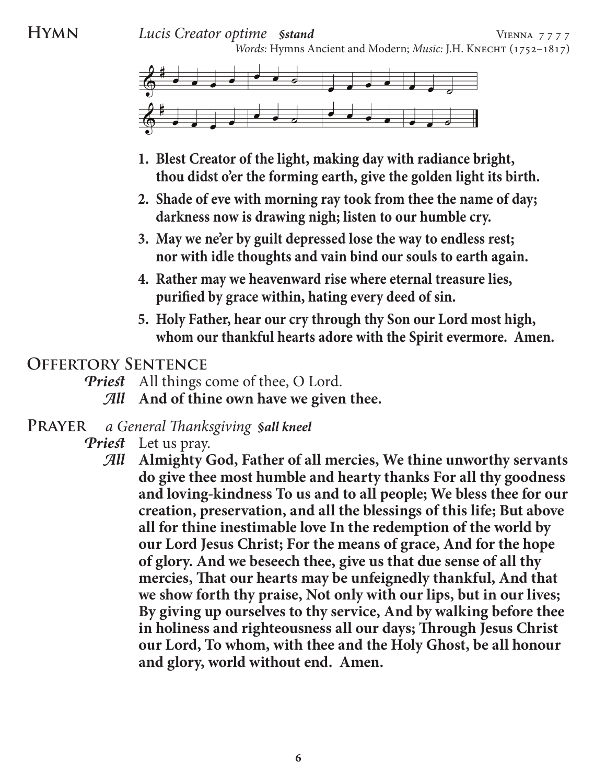**HYMN** *Lucis Creator optime <i>§stand* **VIENNA** 7777 *Words: Hymns Ancient and Modern; Music: J.H. KNECHT* (1752-1817)



- **1. Blest Creator of the light, making day with radiance bright, thou didst o'er the forming earth, give the golden light its birth.**
- **2. Shade of eve with morning ray took from thee the name of day; darkness now is drawing nigh; listen to our humble cry.**
- **3. May we ne'er by guilt depressed lose the way to endless rest; nor with idle thoughts and vain bind our souls to earth again.**
- **4. Rather may we heavenward rise where eternal treasure lies, purified by grace within, hating every deed of sin.**
- **5. Holy Father, hear our cry through thy Son our Lord most high, whom our thankful hearts adore with the Spirit evermore. Amen.**

## **Offertory Sentence**

- *Priest* All things come of thee, O Lord.
	- *All* **And of thine own have we given thee.**
- **Prayer** *a General Thanksgiving §all kneel*
	- *Priest* Let us pray.
		- *All* **Almighty God, Father of all mercies, We thine unworthy servants do give thee most humble and hearty thanks For all thy goodness and loving-kindness To us and to all people; We bless thee for our creation, preservation, and all the blessings of this life; But above all for thine inestimable love In the redemption of the world by our Lord Jesus Christ; For the means of grace, And for the hope of glory. And we beseech thee, give us that due sense of all thy mercies, That our hearts may be unfeignedly thankful, And that we show forth thy praise, Not only with our lips, but in our lives; By giving up ourselves to thy service, And by walking before thee in holiness and righteousness all our days; Through Jesus Christ our Lord, To whom, with thee and the Holy Ghost, be all honour and glory, world without end. Amen.**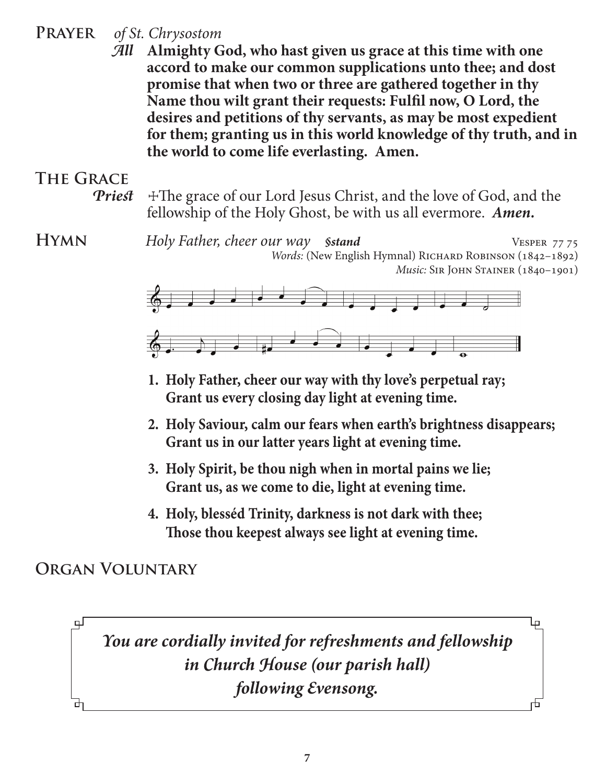## **Prayer** *of St. Chrysostom*

*All* **Almighty God, who hast given us grace at this time with one accord to make our common supplications unto thee; and dost promise that when two or three are gathered together in thy Name thou wilt grant their requests: Fulfil now, O Lord, the desires and petitions of thy servants, as may be most expedient for them; granting us in this world knowledge of thy truth, and in the world to come life everlasting. Amen.**

# **The Grace**

**Priest**  $\pm$ The grace of our Lord Jesus Christ, and the love of God, and the fellowship of the Holy Ghost, be with us all evermore. *Amen.*

**HYMN** *Holy Father, cheer our way <i>§stand* VESPER 77 75 *Words:* (New English Hymnal) RICHARD ROBINSON (1842-1892) *Music:* SIR JOHN STAINER (1840-1901)



- **1. Holy Father, cheer our way with thy love's perpetual ray; Grant us every closing day light at evening time.**
- **2. Holy Saviour, calm our fears when earth's brightness disappears; Grant us in our latter years light at evening time.**
- **3. Holy Spirit, be thou nigh when in mortal pains we lie; Grant us, as we come to die, light at evening time.**
- **4. Holy, blesséd Trinity, darkness is not dark with thee; Those thou keepest always see light at evening time.**

## **Organ Voluntary**

பு

击

*You are cordially invited for refreshments and fellowship in Church House (our parish hall) following Evensong.*

╫